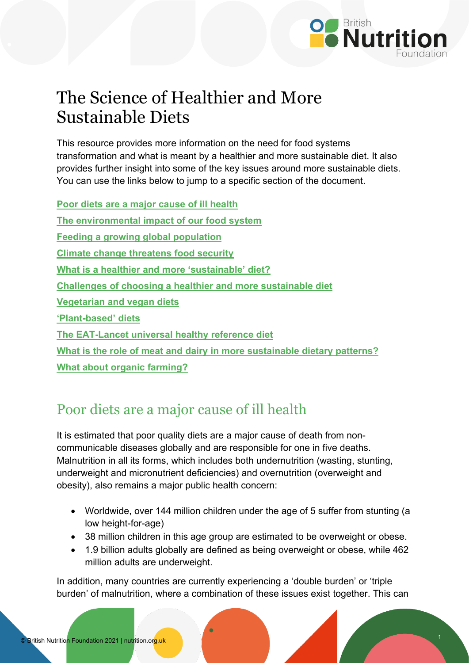

# The Science of Healthier and More Sustainable Diets

This resource provides more information on the need for food systems transformation and what is meant by a healthier and more sustainable diet. It also provides further insight into some of the key issues around more sustainable diets. You can use the links below to jump to a specific section of the document.

**[Poor diets are a major cause of ill health](#page-0-0) [The environmental impact of our food system](#page-1-0) [Feeding a growing global population](#page-2-0) [Climate change threatens food](#page-3-0) security [What is a healthier and more 'sustainable' diet?](#page-4-0) [Challenges of choosing a healthier and more sustainable diet](#page-5-0) [Vegetarian and vegan diets](#page-6-0) ['Plant-based' diets](#page-6-1) [The EAT-Lancet universal healthy reference diet](#page-7-0) [What is the role of meat and dairy in more sustainable dietary patterns?](#page-9-0) [What about organic farming?](#page-11-0)**

### <span id="page-0-0"></span>Poor diets are a major cause of ill health

It is estimated that poor quality diets are a major cause of death from noncommunicable diseases globally and are responsible for one in five deaths. Malnutrition in all its forms, which includes both undernutrition (wasting, stunting, underweight and micronutrient deficiencies) and overnutrition (overweight and obesity), also remains a major public health concern:

- Worldwide, over 144 million children under the age of 5 suffer from stunting (a low height-for-age)
- 38 million children in this age group are estimated to be overweight or obese.
- 1.9 billion adults globally are defined as being overweight or obese, while 462 million adults are underweight.

In addition, many countries are currently experiencing a 'double burden' or 'triple burden' of malnutrition, where a combination of these issues exist together. This can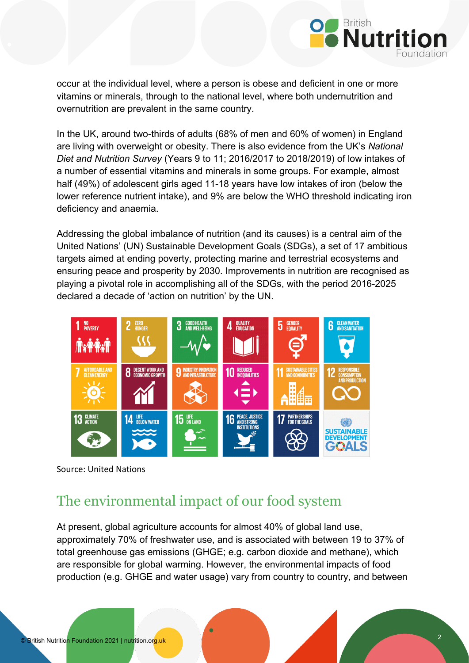

occur at the individual level, where a person is obese and deficient in one or more vitamins or minerals, through to the national level, where both undernutrition and overnutrition are prevalent in the same country.

In the UK, around two-thirds of adults (68% of men and 60% of women) in England are living with overweight or obesity. There is also evidence from the UK's *National Diet and Nutrition Survey* (Years 9 to 11; 2016/2017 to 2018/2019) of low intakes of a number of essential vitamins and minerals in some groups. For example, almost half (49%) of adolescent girls aged 11-18 years have low intakes of iron (below the lower reference nutrient intake), and 9% are below the WHO threshold indicating iron deficiency and anaemia.

Addressing the global imbalance of nutrition (and its causes) is a central aim of the United Nations' (UN) Sustainable Development Goals (SDGs), a set of 17 ambitious targets aimed at ending poverty, protecting marine and terrestrial ecosystems and ensuring peace and prosperity by 2030. Improvements in nutrition are recognised as playing a pivotal role in accomplishing all of the SDGs, with the period 2016-2025 declared a decade of 'action on nutrition' by the UN.



Source: United Nations

#### <span id="page-1-0"></span>The environmental impact of our food system

At present, global agriculture accounts for almost 40% of global land use, approximately 70% of freshwater use, and is associated with between 19 to 37% of total greenhouse gas emissions (GHGE; e.g. carbon dioxide and methane), which are responsible for global warming. However, the environmental impacts of food production (e.g. GHGE and water usage) vary from country to country, and between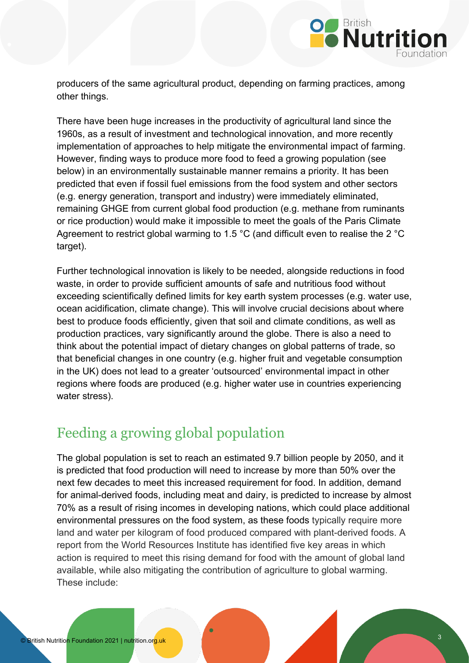

producers of the same agricultural product, depending on farming practices, among other things.

There have been huge increases in the productivity of agricultural land since the 1960s, as a result of investment and technological innovation, and more recently implementation of approaches to help mitigate the environmental impact of farming. However, finding ways to produce more food to feed a growing population (see below) in an environmentally sustainable manner remains a priority. It has been predicted that even if fossil fuel emissions from the food system and other sectors (e.g. energy generation, transport and industry) were immediately eliminated, remaining GHGE from current global food production (e.g. methane from ruminants or rice production) would make it impossible to meet the goals of the Paris Climate Agreement to restrict global warming to 1.5 °C (and difficult even to realise the 2 °C target).

Further technological innovation is likely to be needed, alongside reductions in food waste, in order to provide sufficient amounts of safe and nutritious food without exceeding scientifically defined limits for key earth system processes (e.g. water use, ocean acidification, climate change). This will involve crucial decisions about where best to produce foods efficiently, given that soil and climate conditions, as well as production practices, vary significantly around the globe. There is also a need to think about the potential impact of dietary changes on global patterns of trade, so that beneficial changes in one country (e.g. higher fruit and vegetable consumption in the UK) does not lead to a greater 'outsourced' environmental impact in other regions where foods are produced (e.g. higher water use in countries experiencing water stress).

# <span id="page-2-0"></span>Feeding a growing global population

The global population is set to reach an estimated 9.7 billion people by 2050, and it is predicted that food production will need to increase by more than 50% over the next few decades to meet this increased requirement for food. In addition, demand for animal-derived foods, including meat and dairy, is predicted to increase by almost 70% as a result of rising incomes in developing nations, which could place additional environmental pressures on the food system, as these foods typically require more land and water per kilogram of food produced compared with plant-derived foods. A report from the World Resources Institute has identified five key areas in which action is required to meet this rising demand for food with the amount of global land available, while also mitigating the contribution of agriculture to global warming. These include: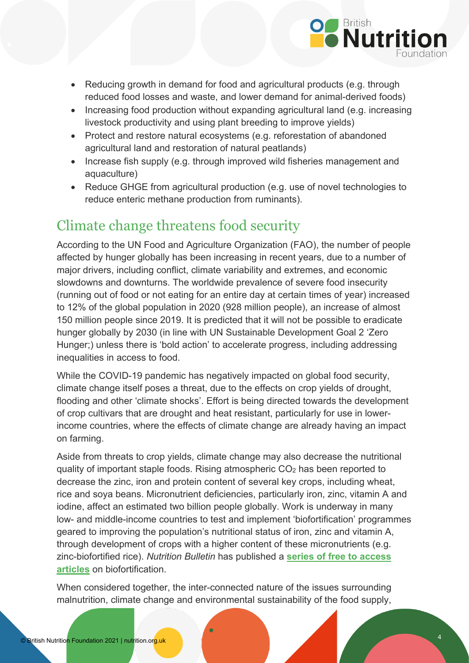

- Reducing growth in demand for food and agricultural products (e.g. through reduced food losses and waste, and lower demand for animal-derived foods)
- Increasing food production without expanding agricultural land (e.g. increasing livestock productivity and using plant breeding to improve yields)
- Protect and restore natural ecosystems (e.g. reforestation of abandoned agricultural land and restoration of natural peatlands)
- Increase fish supply (e.g. through improved wild fisheries management and aquaculture)
- Reduce GHGE from agricultural production (e.g. use of novel technologies to reduce enteric methane production from ruminants).

### <span id="page-3-0"></span>Climate change threatens food security

According to the UN Food and Agriculture Organization (FAO), the number of people affected by hunger globally has been increasing in recent years, due to a number of major drivers, including conflict, climate variability and extremes, and economic slowdowns and downturns. The worldwide prevalence of severe food insecurity (running out of food or not eating for an entire day at certain times of year) increased to 12% of the global population in 2020 (928 million people), an increase of almost 150 million people since 2019. It is predicted that it will not be possible to eradicate hunger globally by 2030 (in line with UN Sustainable Development Goal 2 'Zero Hunger;) unless there is 'bold action' to accelerate progress, including addressing inequalities in access to food.

While the COVID-19 pandemic has negatively impacted on global food security, climate change itself poses a threat, due to the effects on crop yields of drought, flooding and other 'climate shocks'. Effort is being directed towards the development of crop cultivars that are drought and heat resistant, particularly for use in lowerincome countries, where the effects of climate change are already having an impact on farming.

Aside from threats to crop yields, climate change may also decrease the nutritional quality of important staple foods. Rising atmospheric CO2 has been reported to decrease the zinc, iron and protein content of several key crops, including wheat, rice and soya beans. Micronutrient deficiencies, particularly iron, zinc, vitamin A and iodine, affect an estimated two billion people globally. Work is underway in many low- and middle-income countries to test and implement 'biofortification' programmes geared to improving the population's nutritional status of iron, zinc and vitamin A, through development of crops with a higher content of these micronutrients (e.g. zinc-biofortified rice). *Nutrition Bulletin* has published a **[series of free to access](https://onlinelibrary.wiley.com/doi/toc/10.1111/(ISSN)1467-3010.crop_biofortification_nutritional_benefits)  [articles](https://onlinelibrary.wiley.com/doi/toc/10.1111/(ISSN)1467-3010.crop_biofortification_nutritional_benefits)** on biofortification.

When considered together, the inter-connected nature of the issues surrounding malnutrition, climate change and environmental sustainability of the food supply,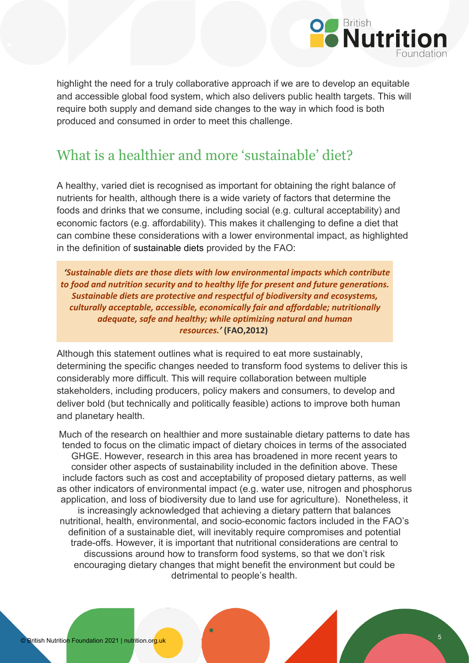

highlight the need for a truly collaborative approach if we are to develop an equitable and accessible global food system, which also delivers public health targets. This will require both supply and demand side changes to the way in which food is both produced and consumed in order to meet this challenge.

### <span id="page-4-0"></span>What is a healthier and more 'sustainable' diet?

A healthy, varied diet is recognised as important for obtaining the right balance of nutrients for health, although there is a wide variety of factors that determine the foods and drinks that we consume, including social (e.g. cultural acceptability) and economic factors (e.g. affordability). This makes it challenging to define a diet that can combine these considerations with a lower environmental impact, as highlighted in the definition of sustainable diets provided by the FAO:

*'Sustainable diets are those diets with low environmental impacts which contribute to food and nutrition security and to healthy life for present and future generations. Sustainable diets are protective and respectful of biodiversity and ecosystems, culturally acceptable, accessible, economically fair and affordable; nutritionally adequate, safe and healthy; while optimizing natural and human resources.'* **(FAO,2012)**

Although this statement outlines what is required to eat more sustainably, determining the specific changes needed to transform food systems to deliver this is considerably more difficult. This will require collaboration between multiple stakeholders, including producers, policy makers and consumers, to develop and deliver bold (but technically and politically feasible) actions to improve both human and planetary health.

Much of the research on healthier and more sustainable dietary patterns to date has tended to focus on the climatic impact of dietary choices in terms of the associated GHGE. However, research in this area has broadened in more recent years to consider other aspects of sustainability included in the definition above. These include factors such as cost and acceptability of proposed dietary patterns, as well as other indicators of environmental impact (e.g. water use, nitrogen and phosphorus application, and loss of biodiversity due to land use for agriculture). Nonetheless, it is increasingly acknowledged that achieving a dietary pattern that balances nutritional, health, environmental, and socio-economic factors included in the FAO's definition of a sustainable diet, will inevitably require compromises and potential trade-offs. However, it is important that nutritional considerations are central to discussions around how to transform food systems, so that we don't risk encouraging dietary changes that might benefit the environment but could be detrimental to people's health.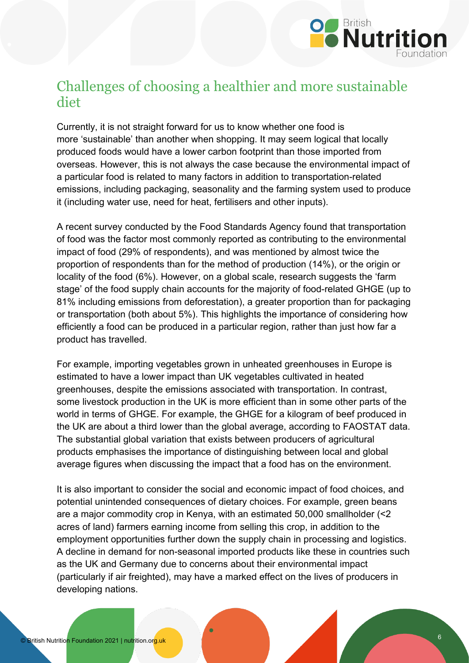

#### <span id="page-5-0"></span>Challenges of choosing a healthier and more sustainable diet

Currently, it is not straight forward for us to know whether one food is more 'sustainable' than another when shopping. It may seem logical that locally produced foods would have a lower carbon footprint than those imported from overseas. However, this is not always the case because the environmental impact of a particular food is related to many factors in addition to transportation-related emissions, including packaging, seasonality and the farming system used to produce it (including water use, need for heat, fertilisers and other inputs).

A recent survey conducted by the Food Standards Agency found that transportation of food was the factor most commonly reported as contributing to the environmental impact of food (29% of respondents), and was mentioned by almost twice the proportion of respondents than for the method of production (14%), or the origin or locality of the food (6%). However, on a global scale, research suggests the 'farm stage' of the food supply chain accounts for the majority of food-related GHGE (up to 81% including emissions from deforestation), a greater proportion than for packaging or transportation (both about 5%). This highlights the importance of considering how efficiently a food can be produced in a particular region, rather than just how far a product has travelled.

For example, importing vegetables grown in unheated greenhouses in Europe is estimated to have a lower impact than UK vegetables cultivated in heated greenhouses, despite the emissions associated with transportation. In contrast, some livestock production in the UK is more efficient than in some other parts of the world in terms of GHGE. For example, the GHGE for a kilogram of beef produced in the UK are about a third lower than the global average, according to FAOSTAT data. The substantial global variation that exists between producers of agricultural products emphasises the importance of distinguishing between local and global average figures when discussing the impact that a food has on the environment.

It is also important to consider the social and economic impact of food choices, and potential unintended consequences of dietary choices. For example, green beans are a major commodity crop in Kenya, with an estimated 50,000 smallholder (<2 acres of land) farmers earning income from selling this crop, in addition to the employment opportunities further down the supply chain in processing and logistics. A decline in demand for non-seasonal imported products like these in countries such as the UK and Germany due to concerns about their environmental impact (particularly if air freighted), may have a marked effect on the lives of producers in developing nations.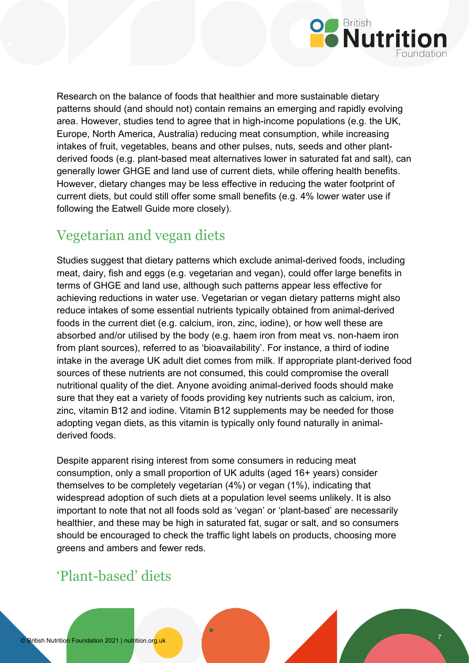

Research on the balance of foods that healthier and more sustainable dietary patterns should (and should not) contain remains an emerging and rapidly evolving area. However, studies tend to agree that in high-income populations (e.g. the UK, Europe, North America, Australia) reducing meat consumption, while increasing intakes of fruit, vegetables, beans and other pulses, nuts, seeds and other plantderived foods (e.g. plant-based meat alternatives lower in saturated fat and salt), can generally lower GHGE and land use of current diets, while offering health benefits. However, dietary changes may be less effective in reducing the water footprint of current diets, but could still offer some small benefits (e.g. 4% lower water use if following the Eatwell Guide more closely).

### <span id="page-6-0"></span>Vegetarian and vegan diets

Studies suggest that dietary patterns which exclude animal-derived foods, including meat, dairy, fish and eggs (e.g. vegetarian and vegan), could offer large benefits in terms of GHGE and land use, although such patterns appear less effective for achieving reductions in water use. Vegetarian or vegan dietary patterns might also reduce intakes of some essential nutrients typically obtained from animal-derived foods in the current diet (e.g. calcium, iron, zinc, iodine), or how well these are absorbed and/or utilised by the body (e.g. haem iron from meat vs. non-haem iron from plant sources), referred to as 'bioavailability'. For instance, a third of iodine intake in the average UK adult diet comes from milk. If appropriate plant-derived food sources of these nutrients are not consumed, this could compromise the overall nutritional quality of the diet. Anyone avoiding animal-derived foods should make sure that they eat a variety of foods providing key nutrients such as calcium, iron, zinc, vitamin B12 and iodine. Vitamin B12 supplements may be needed for those adopting vegan diets, as this vitamin is typically only found naturally in animalderived foods.

Despite apparent rising interest from some consumers in reducing meat consumption, only a small proportion of UK adults (aged 16+ years) consider themselves to be completely vegetarian (4%) or vegan (1%), indicating that widespread adoption of such diets at a population level seems unlikely. It is also important to note that not all foods sold as 'vegan' or 'plant-based' are necessarily healthier, and these may be high in saturated fat, sugar or salt, and so consumers should be encouraged to check the traffic light labels on products, choosing more greens and ambers and fewer reds.

# <span id="page-6-1"></span>'Plant-based' diets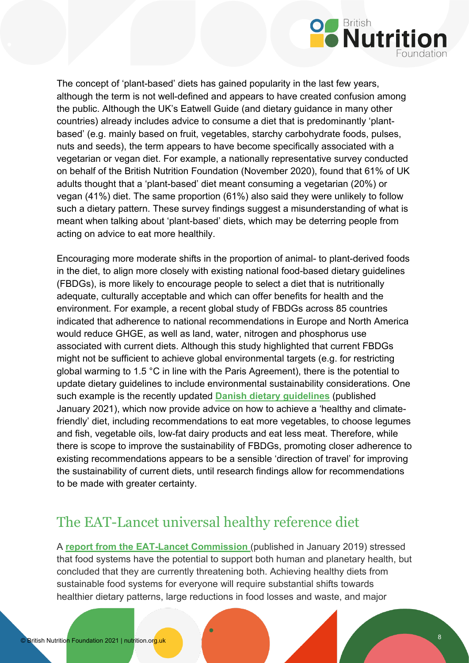

The concept of 'plant-based' diets has gained popularity in the last few years, although the term is not well-defined and appears to have created confusion among the public. Although the UK's Eatwell Guide (and dietary guidance in many other countries) already includes advice to consume a diet that is predominantly 'plantbased' (e.g. mainly based on fruit, vegetables, starchy carbohydrate foods, pulses, nuts and seeds), the term appears to have become specifically associated with a vegetarian or vegan diet. For example, a nationally representative survey conducted on behalf of the British Nutrition Foundation (November 2020), found that 61% of UK adults thought that a 'plant-based' diet meant consuming a vegetarian (20%) or vegan (41%) diet. The same proportion (61%) also said they were unlikely to follow such a dietary pattern. These survey findings suggest a misunderstanding of what is meant when talking about 'plant-based' diets, which may be deterring people from acting on advice to eat more healthily.

Encouraging more moderate shifts in the proportion of animal- to plant-derived foods in the diet, to align more closely with existing national food-based dietary guidelines (FBDGs), is more likely to encourage people to select a diet that is nutritionally adequate, culturally acceptable and which can offer benefits for health and the environment. For example, a recent global study of FBDGs across 85 countries indicated that adherence to national recommendations in Europe and North America would reduce GHGE, as well as land, water, nitrogen and phosphorus use associated with current diets. Although this study highlighted that current FBDGs might not be sufficient to achieve global environmental targets (e.g. for restricting global warming to 1.5 °C in line with the Paris Agreement), there is the potential to update dietary guidelines to include environmental sustainability considerations. One such example is the recently updated **[Danish dietary guidelines](http://www.fao.org/nutrition/education/food-dietary-guidelines/regions/countries/denmark/en/)** (published January 2021), which now provide advice on how to achieve a 'healthy and climatefriendly' diet, including recommendations to eat more vegetables, to choose legumes and fish, vegetable oils, low-fat dairy products and eat less meat. Therefore, while there is scope to improve the sustainability of FBDGs, promoting closer adherence to existing recommendations appears to be a sensible 'direction of travel' for improving the sustainability of current diets, until research findings allow for recommendations to be made with greater certainty.

#### <span id="page-7-0"></span>The EAT-Lancet universal healthy reference diet

A **report from the [EAT-Lancet Commission](https://www.thelancet.com/journals/lancet/article/PIIS0140-6736(18)31788-4/fulltext)** (published in January 2019) stressed that food systems have the potential to support both human and planetary health, but concluded that they are currently threatening both. Achieving healthy diets from sustainable food systems for everyone will require substantial shifts towards healthier dietary patterns, large reductions in food losses and waste, and major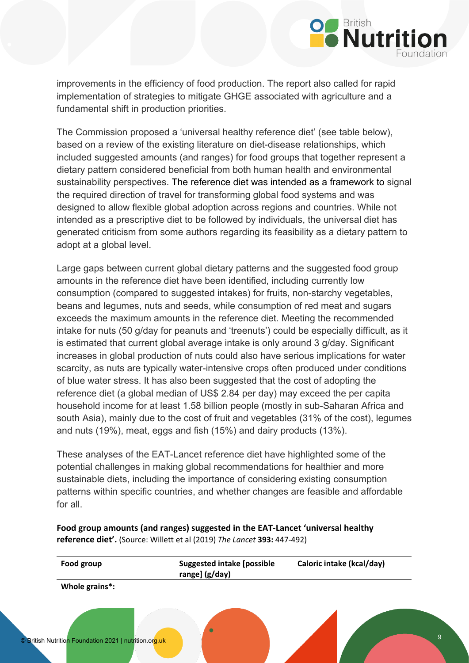

improvements in the efficiency of food production. The report also called for rapid implementation of strategies to mitigate GHGE associated with agriculture and a fundamental shift in production priorities.

The Commission proposed a 'universal healthy reference diet' (see table below), based on a review of the existing literature on diet-disease relationships, which included suggested amounts (and ranges) for food groups that together represent a dietary pattern considered beneficial from both human health and environmental sustainability perspectives. The reference diet was intended as a framework to signal the required direction of travel for transforming global food systems and was designed to allow flexible global adoption across regions and countries. While not intended as a prescriptive diet to be followed by individuals, the universal diet has generated criticism from some authors regarding its feasibility as a dietary pattern to adopt at a global level.

Large gaps between current global dietary patterns and the suggested food group amounts in the reference diet have been identified, including currently low consumption (compared to suggested intakes) for fruits, non-starchy vegetables, beans and legumes, nuts and seeds, while consumption of red meat and sugars exceeds the maximum amounts in the reference diet. Meeting the recommended intake for nuts (50 g/day for peanuts and 'treenuts') could be especially difficult, as it is estimated that current global average intake is only around 3 g/day. Significant increases in global production of nuts could also have serious implications for water scarcity, as nuts are typically water-intensive crops often produced under conditions of blue water stress. It has also been suggested that the cost of adopting the reference diet (a global median of US\$ 2.84 per day) may exceed the per capita household income for at least 1.58 billion people (mostly in sub-Saharan Africa and south Asia), mainly due to the cost of fruit and vegetables (31% of the cost), legumes and nuts (19%), meat, eggs and fish (15%) and dairy products (13%).

These analyses of the EAT-Lancet reference diet have highlighted some of the potential challenges in making global recommendations for healthier and more sustainable diets, including the importance of considering existing consumption patterns within specific countries, and whether changes are feasible and affordable for all.

**Food group amounts (and ranges) suggested in the EAT-Lancet 'universal healthy reference diet'.** (Source: Willett et al (2019) *The Lancet* **393:** 447-492)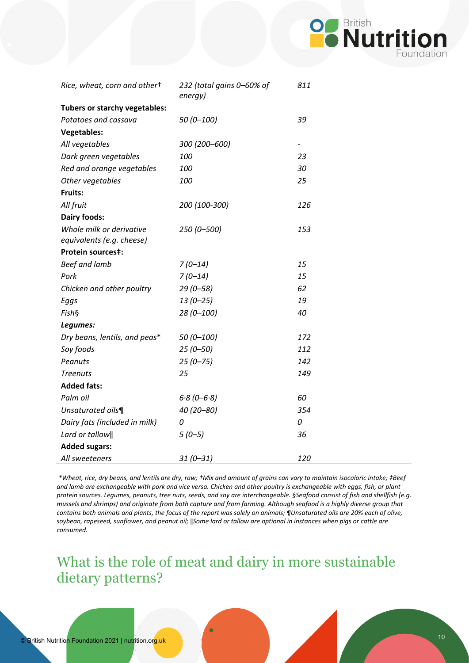

| Rice, wheat, corn and othert  | 232 (total gains 0-60% of<br>energy) | 811 |
|-------------------------------|--------------------------------------|-----|
| Tubers or starchy vegetables: |                                      |     |
| Potatoes and cassava          | $50(0 - 100)$                        | 39  |
| <b>Vegetables:</b>            |                                      |     |
| All vegetables                | 300 (200-600)                        |     |
| Dark green vegetables         | 100                                  | 23  |
| Red and orange vegetables     | 100                                  | 30  |
| Other vegetables              | 100                                  | 25  |
| Fruits:                       |                                      |     |
| All fruit                     | 200 (100-300)                        | 126 |
| <b>Dairy foods:</b>           |                                      |     |
| Whole milk or derivative      | 250 (0-500)                          | 153 |
| equivalents (e.g. cheese)     |                                      |     |
| <b>Protein sources‡:</b>      |                                      |     |
| <b>Beef and lamb</b>          | $7(0-14)$                            | 15  |
| Pork                          | $7(0-14)$                            | 15  |
| Chicken and other poultry     | $29(0 - 58)$                         | 62  |
| Eggs                          | $13(0 - 25)$                         | 19  |
| Fish§                         | 28 (0-100)                           | 40  |
| Legumes:                      |                                      |     |
| Dry beans, lentils, and peas* | $50(0 - 100)$                        | 172 |
| Soy foods                     | $25(0 - 50)$                         | 112 |
| Peanuts                       | $25(0 - 75)$                         | 142 |
| <b>Treenuts</b>               | 25                                   | 149 |
| <b>Added fats:</b>            |                                      |     |
| Palm oil                      | $6.8(0 - 6.8)$                       | 60  |
| Unsaturated oils¶             | 40 (20-80)                           | 354 |
| Dairy fats (included in milk) | 0                                    | 0   |
| Lard or tallow                | $5(0-5)$                             | 36  |
| <b>Added sugars:</b>          |                                      |     |
| All sweeteners                | $31(0 - 31)$                         | 120 |

*\*Wheat, rice, dry beans, and lentils are dry, raw; †Mix and amount of grains can vary to maintain isocaloric intake; ‡Beef and lamb are exchangeable with pork and vice versa. Chicken and other poultry is exchangeable with eggs, fish, or plant protein sources. Legumes, peanuts, tree nuts, seeds, and soy are interchangeable. §Seafood consist of fish and shellfish (e.g. mussels and shrimps) and originate from both capture and from farming. Although seafood is a highly diverse group that contains both animals and plants, the focus of the report was solely on animals; ¶Unsaturated oils are 20% each of olive, soybean, rapeseed, sunflower, and peanut oil;* ǁ*Some lard or tallow are optional in instances when pigs or cattle are consumed.*

<span id="page-9-0"></span>What is the role of meat and dairy in more sustainable dietary patterns?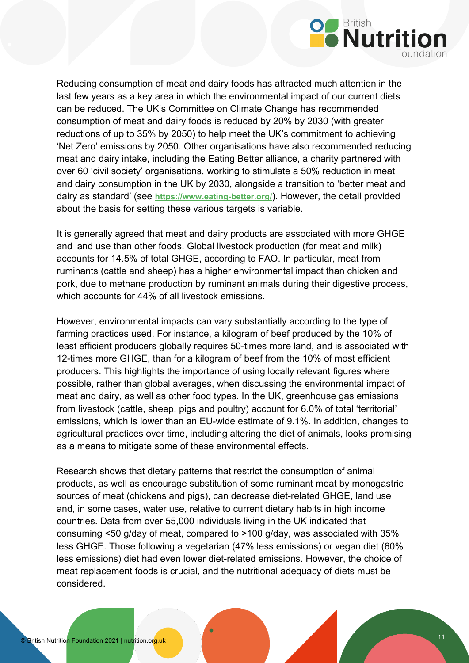

Reducing consumption of meat and dairy foods has attracted much attention in the last few years as a key area in which the environmental impact of our current diets can be reduced. The UK's Committee on Climate Change has recommended consumption of meat and dairy foods is reduced by 20% by 2030 (with greater reductions of up to 35% by 2050) to help meet the UK's commitment to achieving 'Net Zero' emissions by 2050. Other organisations have also recommended reducing meat and dairy intake, including the Eating Better alliance, a charity partnered with over 60 'civil society' organisations, working to stimulate a 50% reduction in meat and dairy consumption in the UK by 2030, alongside a transition to 'better meat and dairy as standard' (see **<https://www.eating-better.org/>**). However, the detail provided about the basis for setting these various targets is variable.

It is generally agreed that meat and dairy products are associated with more GHGE and land use than other foods. Global livestock production (for meat and milk) accounts for 14.5% of total GHGE, according to FAO. In particular, meat from ruminants (cattle and sheep) has a higher environmental impact than chicken and pork, due to methane production by ruminant animals during their digestive process, which accounts for 44% of all livestock emissions.

However, environmental impacts can vary substantially according to the type of farming practices used. For instance, a kilogram of beef produced by the 10% of least efficient producers globally requires 50-times more land, and is associated with 12-times more GHGE, than for a kilogram of beef from the 10% of most efficient producers. This highlights the importance of using locally relevant figures where possible, rather than global averages, when discussing the environmental impact of meat and dairy, as well as other food types. In the UK, greenhouse gas emissions from livestock (cattle, sheep, pigs and poultry) account for 6.0% of total 'territorial' emissions, which is lower than an EU-wide estimate of 9.1%. In addition, changes to agricultural practices over time, including altering the diet of animals, looks promising as a means to mitigate some of these environmental effects.

Research shows that dietary patterns that restrict the consumption of animal products, as well as encourage substitution of some ruminant meat by monogastric sources of meat (chickens and pigs), can decrease diet-related GHGE, land use and, in some cases, water use, relative to current dietary habits in high income countries. Data from over 55,000 individuals living in the UK indicated that consuming <50 g/day of meat, compared to >100 g/day, was associated with 35% less GHGE. Those following a vegetarian (47% less emissions) or vegan diet (60% less emissions) diet had even lower diet-related emissions. However, the choice of meat replacement foods is crucial, and the nutritional adequacy of diets must be considered.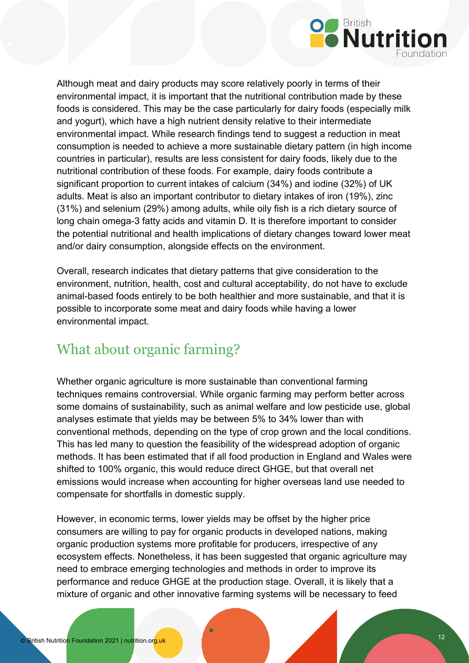

Although meat and dairy products may score relatively poorly in terms of their environmental impact, it is important that the nutritional contribution made by these foods is considered. This may be the case particularly for dairy foods (especially milk and yogurt), which have a high nutrient density relative to their intermediate environmental impact. While research findings tend to suggest a reduction in meat consumption is needed to achieve a more sustainable dietary pattern (in high income countries in particular), results are less consistent for dairy foods, likely due to the nutritional contribution of these foods. For example, dairy foods contribute a significant proportion to current intakes of calcium (34%) and iodine (32%) of UK adults. Meat is also an important contributor to dietary intakes of iron (19%), zinc (31%) and selenium (29%) among adults, while oily fish is a rich dietary source of long chain omega-3 fatty acids and vitamin D. It is therefore important to consider the potential nutritional and health implications of dietary changes toward lower meat and/or dairy consumption, alongside effects on the environment.

Overall, research indicates that dietary patterns that give consideration to the environment, nutrition, health, cost and cultural acceptability, do not have to exclude animal-based foods entirely to be both healthier and more sustainable, and that it is possible to incorporate some meat and dairy foods while having a lower environmental impact.

### <span id="page-11-0"></span>What about organic farming?

Whether organic agriculture is more sustainable than conventional farming techniques remains controversial. While organic farming may perform better across some domains of sustainability, such as animal welfare and low pesticide use, global analyses estimate that yields may be between 5% to 34% lower than with conventional methods, depending on the type of crop grown and the local conditions. This has led many to question the feasibility of the widespread adoption of organic methods. It has been estimated that if all food production in England and Wales were shifted to 100% organic, this would reduce direct GHGE, but that overall net emissions would increase when accounting for higher overseas land use needed to compensate for shortfalls in domestic supply.

However, in economic terms, lower yields may be offset by the higher price consumers are willing to pay for organic products in developed nations, making organic production systems more profitable for producers, irrespective of any ecosystem effects. Nonetheless, it has been suggested that organic agriculture may need to embrace emerging technologies and methods in order to improve its performance and reduce GHGE at the production stage. Overall, it is likely that a mixture of organic and other innovative farming systems will be necessary to feed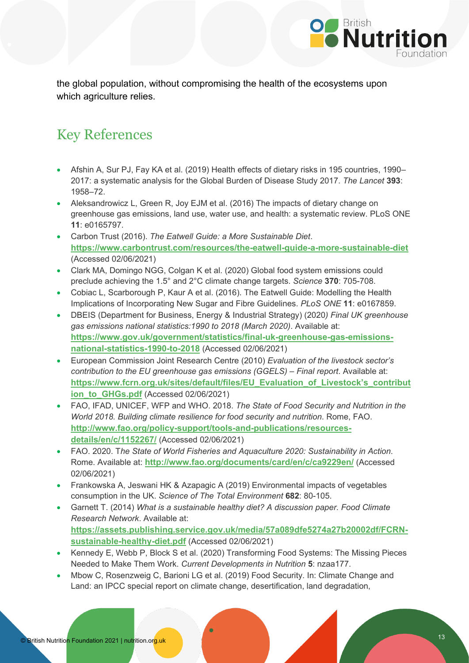

the global population, without compromising the health of the ecosystems upon which agriculture relies.

# Key References

- Afshin A, Sur PJ, Fay KA et al. (2019) Health effects of dietary risks in 195 countries, 1990– 2017: a systematic analysis for the Global Burden of Disease Study 2017. *The Lancet* **393**: 1958–72.
- Aleksandrowicz L, Green R, Joy EJM et al. (2016) The impacts of dietary change on greenhouse gas emissions, land use, water use, and health: a systematic review. PLoS ONE **11**: e0165797.
- Carbon Trust (2016). *The Eatwell Guide: a More Sustainable Diet*. **<https://www.carbontrust.com/resources/the-eatwell-guide-a-more-sustainable-diet>** (Accessed 02/06/2021)
- Clark MA, Domingo NGG, Colgan K et al. (2020) Global food system emissions could preclude achieving the 1.5° and 2°C climate change targets. *Science* **370**: 705-708.
- Cobiac L, Scarborough P, Kaur A et al. (2016). The Eatwell Guide: Modelling the Health Implications of Incorporating New Sugar and Fibre Guidelines. *PLoS ONE* **11**: e0167859.
- DBEIS (Department for Business, Energy & Industrial Strategy) (2020*) Final UK greenhouse gas emissions national statistics:1990 to 2018 (March 2020)*. Available at: **[https://www.gov.uk/government/statistics/final-uk-greenhouse-gas-emissions](https://www.gov.uk/government/statistics/final-uk-greenhouse-gas-emissions-national-statistics-1990-to-2018)[national-statistics-1990-to-2018](https://www.gov.uk/government/statistics/final-uk-greenhouse-gas-emissions-national-statistics-1990-to-2018)** (Accessed 02/06/2021)
- European Commission Joint Research Centre (2010) *Evaluation of the livestock sector's contribution to the EU greenhouse gas emissions (GGELS) – Final report*. Available at: **[https://www.fcrn.org.uk/sites/default/files/EU\\_Evaluation\\_of\\_Livestock's\\_contribut](https://www.fcrn.org.uk/sites/default/files/EU_Evaluation_of_Livestock%E2%80%99s_contribution_to_GHGs.pdf) [ion\\_to\\_GHGs.pdf](https://www.fcrn.org.uk/sites/default/files/EU_Evaluation_of_Livestock%E2%80%99s_contribution_to_GHGs.pdf)** (Accessed 02/06/2021)
- FAO, IFAD, UNICEF, WFP and WHO. 2018. *The State of Food Security and Nutrition in the World 2018. Building climate resilience for food security and nutrition*. Rome, FAO. **[http://www.fao.org/policy-support/tools-and-publications/resources](http://www.fao.org/policy-support/tools-and-publications/resources-details/en/c/1152267/)[details/en/c/1152267/](http://www.fao.org/policy-support/tools-and-publications/resources-details/en/c/1152267/)** (Accessed 02/06/2021)
- FAO. 2020. T*he State of World Fisheries and Aquaculture 2020: Sustainability in Action*. Rome. Available at: **<http://www.fao.org/documents/card/en/c/ca9229en/>** (Accessed 02/06/2021)
- Frankowska A, Jeswani HK & Azapagic A (2019) Environmental impacts of vegetables consumption in the UK. *Science of The Total Environment* **682**: 80-105.
- Garnett T. (2014) *What is a sustainable healthy diet? A discussion paper. Food Climate Research Network*. Available at: **[https://assets.publishing.service.gov.uk/media/57a089dfe5274a27b20002df/FCRN](https://assets.publishing.service.gov.uk/media/57a089dfe5274a27b20002df/FCRN-sustainable-healthy-diet.pdf)[sustainable-healthy-diet.pdf](https://assets.publishing.service.gov.uk/media/57a089dfe5274a27b20002df/FCRN-sustainable-healthy-diet.pdf)** (Accessed 02/06/2021)
- Kennedy E, Webb P, Block S et al. (2020) Transforming Food Systems: The Missing Pieces Needed to Make Them Work. *Current Developments in Nutrition* **5**: nzaa177.
- Mbow C, Rosenzweig C, Barioni LG et al. (2019) Food Security. In: Climate Change and Land: an IPCC special report on climate change, desertification, land degradation,